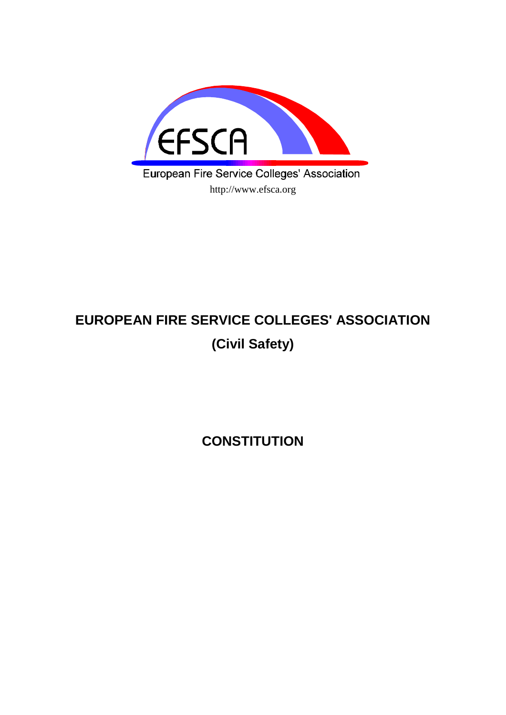

# **EUROPEAN FIRE SERVICE COLLEGES' ASSOCIATION (Civil Safety)**

**CONSTITUTION**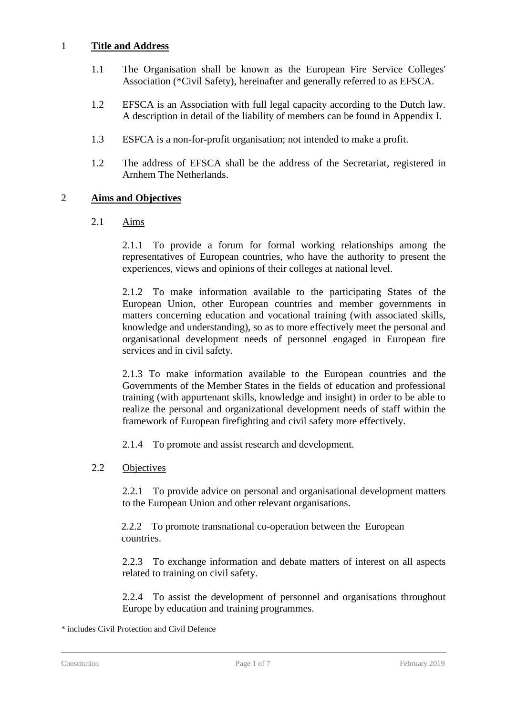### 1 **Title and Address**

- 1.1 The Organisation shall be known as the European Fire Service Colleges' Association (\*Civil Safety), hereinafter and generally referred to as EFSCA.
- 1.2 EFSCA is an Association with full legal capacity according to the Dutch law. A description in detail of the liability of members can be found in Appendix I.
- 1.3 ESFCA is a non-for-profit organisation; not intended to make a profit.
- 1.2 The address of EFSCA shall be the address of the Secretariat, registered in Arnhem The Netherlands.

# 2 **Aims and Objectives**

2.1 Aims

2.1.1 To provide a forum for formal working relationships among the representatives of European countries, who have the authority to present the experiences, views and opinions of their colleges at national level.

2.1.2 To make information available to the participating States of the European Union, other European countries and member governments in matters concerning education and vocational training (with associated skills, knowledge and understanding), so as to more effectively meet the personal and organisational development needs of personnel engaged in European fire services and in civil safety.

2.1.3 To make information available to the European countries and the Governments of the Member States in the fields of education and professional training (with appurtenant skills, knowledge and insight) in order to be able to realize the personal and organizational development needs of staff within the framework of European firefighting and civil safety more effectively.

2.1.4 To promote and assist research and development.

2.2 Objectives

2.2.1 To provide advice on personal and organisational development matters to the European Union and other relevant organisations.

2.2.2 To promote transnational co-operation between the European countries.

2.2.3 To exchange information and debate matters of interest on all aspects related to training on civil safety.

2.2.4 To assist the development of personnel and organisations throughout Europe by education and training programmes.

<sup>\*</sup> includes Civil Protection and Civil Defence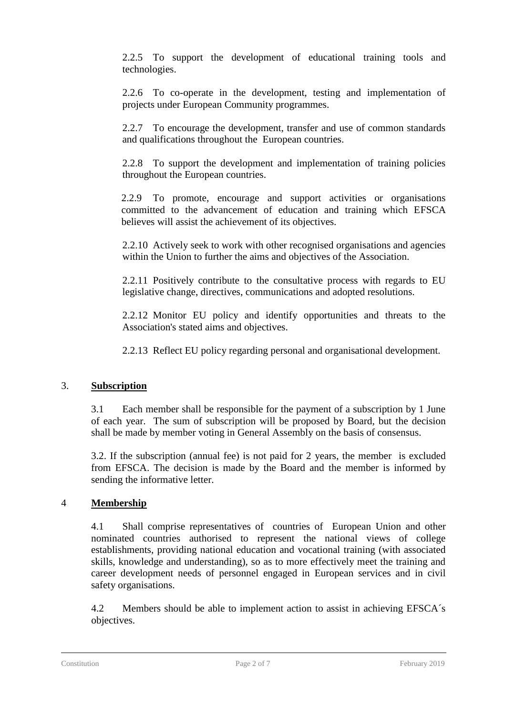2.2.5 To support the development of educational training tools and technologies.

2.2.6 To co-operate in the development, testing and implementation of projects under European Community programmes.

2.2.7 To encourage the development, transfer and use of common standards and qualifications throughout the European countries.

2.2.8 To support the development and implementation of training policies throughout the European countries.

2.2.9 To promote, encourage and support activities or organisations committed to the advancement of education and training which EFSCA believes will assist the achievement of its objectives.

2.2.10 Actively seek to work with other recognised organisations and agencies within the Union to further the aims and objectives of the Association.

2.2.11 Positively contribute to the consultative process with regards to EU legislative change, directives, communications and adopted resolutions.

2.2.12 Monitor EU policy and identify opportunities and threats to the Association's stated aims and objectives.

2.2.13 Reflect EU policy regarding personal and organisational development.

# 3. **Subscription**

3.1 Each member shall be responsible for the payment of a subscription by 1 June of each year. The sum of subscription will be proposed by Board, but the decision shall be made by member voting in General Assembly on the basis of consensus.

3.2. If the subscription (annual fee) is not paid for 2 years, the member is excluded from EFSCA. The decision is made by the Board and the member is informed by sending the informative letter.

# 4 **Membership**

4.1 Shall comprise representatives of countries of European Union and other nominated countries authorised to represent the national views of college establishments, providing national education and vocational training (with associated skills, knowledge and understanding), so as to more effectively meet the training and career development needs of personnel engaged in European services and in civil safety organisations.

4.2 Members should be able to implement action to assist in achieving EFSCA´s objectives.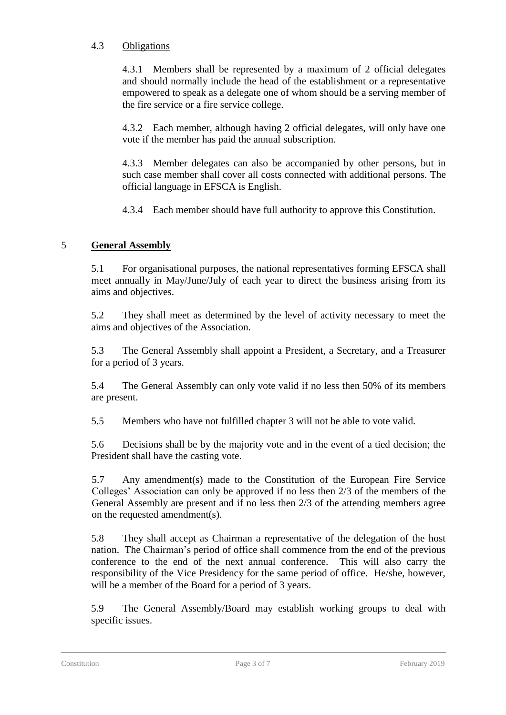# 4.3 Obligations

4.3.1 Members shall be represented by a maximum of 2 official delegates and should normally include the head of the establishment or a representative empowered to speak as a delegate one of whom should be a serving member of the fire service or a fire service college.

4.3.2 Each member, although having 2 official delegates, will only have one vote if the member has paid the annual subscription.

4.3.3 Member delegates can also be accompanied by other persons, but in such case member shall cover all costs connected with additional persons. The official language in EFSCA is English.

4.3.4 Each member should have full authority to approve this Constitution.

# 5 **General Assembly**

5.1 For organisational purposes, the national representatives forming EFSCA shall meet annually in May/June/July of each year to direct the business arising from its aims and objectives.

5.2 They shall meet as determined by the level of activity necessary to meet the aims and objectives of the Association.

5.3 The General Assembly shall appoint a President, a Secretary, and a Treasurer for a period of 3 years.

5.4 The General Assembly can only vote valid if no less then 50% of its members are present.

5.5 Members who have not fulfilled chapter 3 will not be able to vote valid.

5.6 Decisions shall be by the majority vote and in the event of a tied decision; the President shall have the casting vote.

5.7 Any amendment(s) made to the Constitution of the European Fire Service Colleges' Association can only be approved if no less then 2/3 of the members of the General Assembly are present and if no less then 2/3 of the attending members agree on the requested amendment(s).

5.8 They shall accept as Chairman a representative of the delegation of the host nation. The Chairman's period of office shall commence from the end of the previous conference to the end of the next annual conference. This will also carry the responsibility of the Vice Presidency for the same period of office. He/she, however, will be a member of the Board for a period of 3 years.

5.9 The General Assembly/Board may establish working groups to deal with specific issues.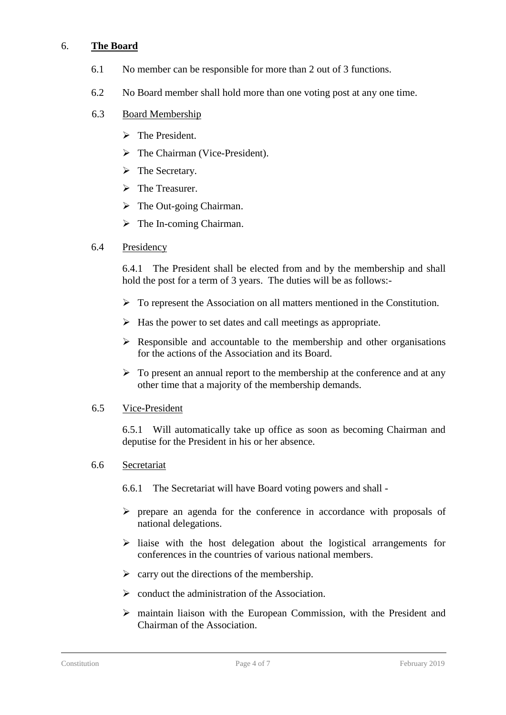#### 6. **The Board**

- 6.1 No member can be responsible for more than 2 out of 3 functions.
- 6.2 No Board member shall hold more than one voting post at any one time.

#### 6.3 Board Membership

- ➢ The President.
- ➢ The Chairman (Vice-President).
- ➢ The Secretary.
- ➢ The Treasurer.
- $\triangleright$  The Out-going Chairman.
- $\triangleright$  The In-coming Chairman.

#### 6.4 Presidency

6.4.1 The President shall be elected from and by the membership and shall hold the post for a term of 3 years. The duties will be as follows:-

- ➢ To represent the Association on all matters mentioned in the Constitution.
- $\triangleright$  Has the power to set dates and call meetings as appropriate.
- $\triangleright$  Responsible and accountable to the membership and other organisations for the actions of the Association and its Board.
- $\triangleright$  To present an annual report to the membership at the conference and at any other time that a majority of the membership demands.

#### 6.5 Vice-President

6.5.1 Will automatically take up office as soon as becoming Chairman and deputise for the President in his or her absence.

- 6.6 Secretariat
	- 6.6.1 The Secretariat will have Board voting powers and shall -
	- ➢ prepare an agenda for the conference in accordance with proposals of national delegations.
	- ➢ liaise with the host delegation about the logistical arrangements for conferences in the countries of various national members.
	- $\triangleright$  carry out the directions of the membership.
	- $\triangleright$  conduct the administration of the Association.
	- ➢ maintain liaison with the European Commission, with the President and Chairman of the Association.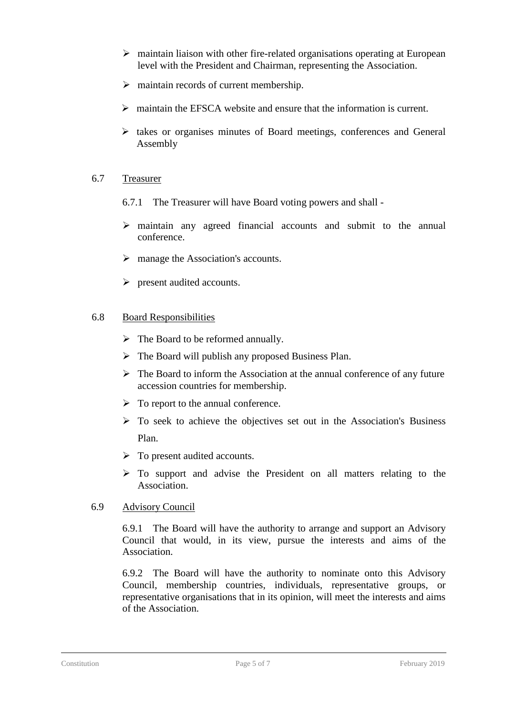- ➢ maintain liaison with other fire-related organisations operating at European level with the President and Chairman, representing the Association.
- $\triangleright$  maintain records of current membership.
- $\triangleright$  maintain the EFSCA website and ensure that the information is current.
- $\triangleright$  takes or organises minutes of Board meetings, conferences and General Assembly

#### 6.7 Treasurer

- 6.7.1 The Treasurer will have Board voting powers and shall -
- ➢ maintain any agreed financial accounts and submit to the annual conference.
- ➢ manage the Association's accounts.
- ➢ present audited accounts.

#### 6.8 Board Responsibilities

- ➢ The Board to be reformed annually.
- $\triangleright$  The Board will publish any proposed Business Plan.
- $\triangleright$  The Board to inform the Association at the annual conference of any future accession countries for membership.
- $\triangleright$  To report to the annual conference.
- ➢ To seek to achieve the objectives set out in the Association's Business Plan.
- $\triangleright$  To present audited accounts.
- ➢ To support and advise the President on all matters relating to the Association.

#### 6.9 Advisory Council

6.9.1 The Board will have the authority to arrange and support an Advisory Council that would, in its view, pursue the interests and aims of the Association.

6.9.2 The Board will have the authority to nominate onto this Advisory Council, membership countries, individuals, representative groups, or representative organisations that in its opinion, will meet the interests and aims of the Association.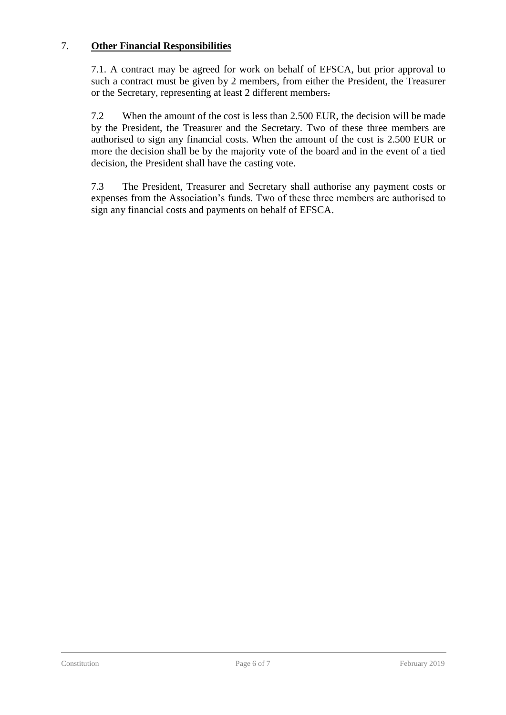### 7. **Other Financial Responsibilities**

7.1. A contract may be agreed for work on behalf of EFSCA, but prior approval to such a contract must be given by 2 members, from either the President, the Treasurer or the Secretary, representing at least 2 different members.

7.2 When the amount of the cost is less than 2.500 EUR, the decision will be made by the President, the Treasurer and the Secretary. Two of these three members are authorised to sign any financial costs. When the amount of the cost is 2.500 EUR or more the decision shall be by the majority vote of the board and in the event of a tied decision, the President shall have the casting vote.

7.3 The President, Treasurer and Secretary shall authorise any payment costs or expenses from the Association's funds. Two of these three members are authorised to sign any financial costs and payments on behalf of EFSCA.